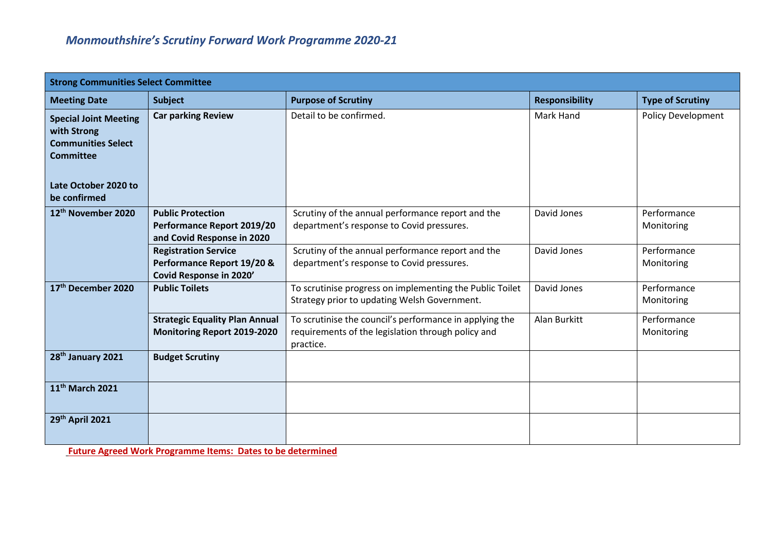| <b>Strong Communities Select Committee</b>                                                                    |                                                                                      |                                                                                                                            |                       |                           |
|---------------------------------------------------------------------------------------------------------------|--------------------------------------------------------------------------------------|----------------------------------------------------------------------------------------------------------------------------|-----------------------|---------------------------|
| <b>Meeting Date</b>                                                                                           | <b>Subject</b>                                                                       | <b>Purpose of Scrutiny</b>                                                                                                 | <b>Responsibility</b> | <b>Type of Scrutiny</b>   |
| <b>Special Joint Meeting</b><br>with Strong<br><b>Communities Select</b><br>Committee<br>Late October 2020 to | <b>Car parking Review</b>                                                            | Detail to be confirmed.                                                                                                    | Mark Hand             | <b>Policy Development</b> |
| be confirmed                                                                                                  |                                                                                      |                                                                                                                            |                       |                           |
| 12 <sup>th</sup> November 2020                                                                                | <b>Public Protection</b><br>Performance Report 2019/20<br>and Covid Response in 2020 | Scrutiny of the annual performance report and the<br>department's response to Covid pressures.                             | David Jones           | Performance<br>Monitoring |
|                                                                                                               | <b>Registration Service</b><br>Performance Report 19/20 &<br>Covid Response in 2020' | Scrutiny of the annual performance report and the<br>department's response to Covid pressures.                             | David Jones           | Performance<br>Monitoring |
| 17th December 2020                                                                                            | <b>Public Toilets</b>                                                                | To scrutinise progress on implementing the Public Toilet<br>Strategy prior to updating Welsh Government.                   | David Jones           | Performance<br>Monitoring |
|                                                                                                               | <b>Strategic Equality Plan Annual</b><br><b>Monitoring Report 2019-2020</b>          | To scrutinise the council's performance in applying the<br>requirements of the legislation through policy and<br>practice. | Alan Burkitt          | Performance<br>Monitoring |
| 28 <sup>th</sup> January 2021                                                                                 | <b>Budget Scrutiny</b>                                                               |                                                                                                                            |                       |                           |
| 11 <sup>th</sup> March 2021                                                                                   |                                                                                      |                                                                                                                            |                       |                           |
| 29th April 2021                                                                                               |                                                                                      |                                                                                                                            |                       |                           |

**Future Agreed Work Programme Items: Dates to be determined**